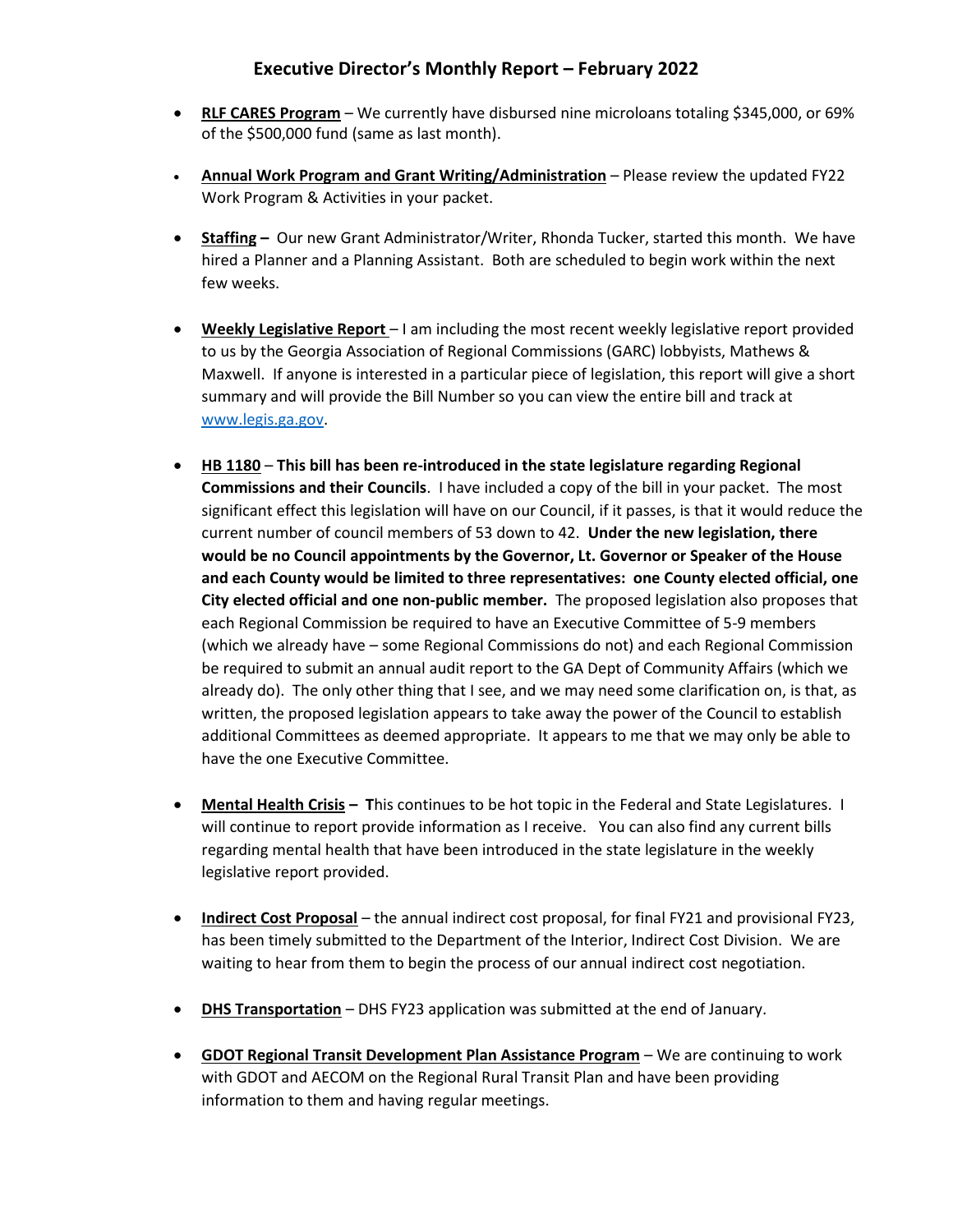## **Executive Director's Monthly Report – February 2022**

- **RLF CARES Program** We currently have disbursed nine microloans totaling \$345,000, or 69% of the \$500,000 fund (same as last month).
- **Annual Work Program and Grant Writing/Administration** Please review the updated FY22 Work Program & Activities in your packet.
- **Staffing –** Our new Grant Administrator/Writer, Rhonda Tucker, started this month. We have hired a Planner and a Planning Assistant. Both are scheduled to begin work within the next few weeks.
- **Weekly Legislative Report**  I am including the most recent weekly legislative report provided to us by the Georgia Association of Regional Commissions (GARC) lobbyists, Mathews & Maxwell. If anyone is interested in a particular piece of legislation, this report will give a short summary and will provide the Bill Number so you can view the entire bill and track at [www.legis.ga.gov.](http://www.legis.ga.gov/)
- **HB 1180 This bill has been re-introduced in the state legislature regarding Regional Commissions and their Councils**. I have included a copy of the bill in your packet. The most significant effect this legislation will have on our Council, if it passes, is that it would reduce the current number of council members of 53 down to 42. **Under the new legislation, there would be no Council appointments by the Governor, Lt. Governor or Speaker of the House and each County would be limited to three representatives: one County elected official, one City elected official and one non-public member.** The proposed legislation also proposes that each Regional Commission be required to have an Executive Committee of 5-9 members (which we already have – some Regional Commissions do not) and each Regional Commission be required to submit an annual audit report to the GA Dept of Community Affairs (which we already do). The only other thing that I see, and we may need some clarification on, is that, as written, the proposed legislation appears to take away the power of the Council to establish additional Committees as deemed appropriate. It appears to me that we may only be able to have the one Executive Committee.
- **Mental Health Crisis – T**his continues to be hot topic in the Federal and State Legislatures. I will continue to report provide information as I receive. You can also find any current bills regarding mental health that have been introduced in the state legislature in the weekly legislative report provided.
- **Indirect Cost Proposal** the annual indirect cost proposal, for final FY21 and provisional FY23, has been timely submitted to the Department of the Interior, Indirect Cost Division. We are waiting to hear from them to begin the process of our annual indirect cost negotiation.
- **DHS Transportation** DHS FY23 application was submitted at the end of January.
- **GDOT Regional Transit Development Plan Assistance Program** We are continuing to work with GDOT and AECOM on the Regional Rural Transit Plan and have been providing information to them and having regular meetings.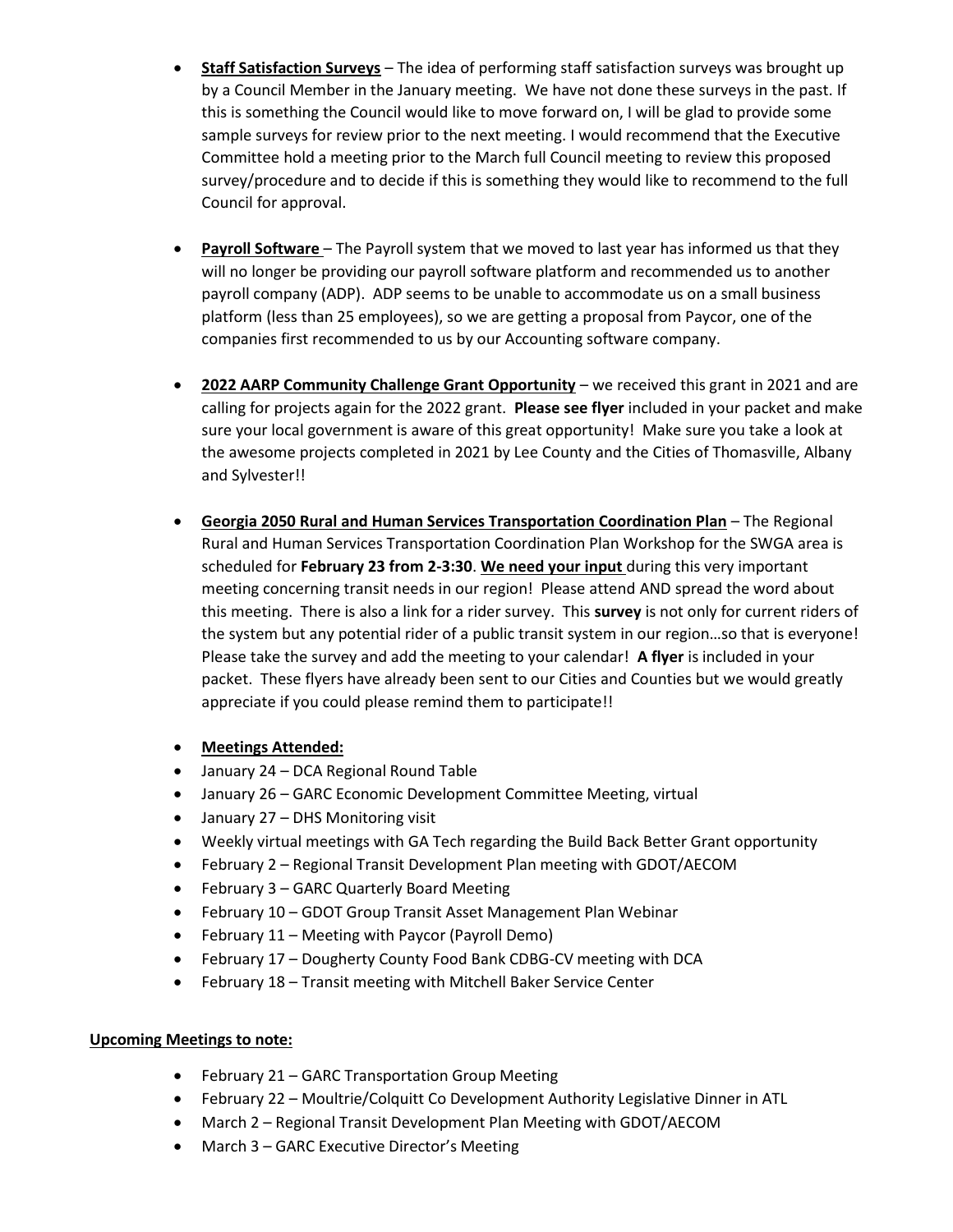- **Staff Satisfaction Surveys** The idea of performing staff satisfaction surveys was brought up by a Council Member in the January meeting. We have not done these surveys in the past. If this is something the Council would like to move forward on, I will be glad to provide some sample surveys for review prior to the next meeting. I would recommend that the Executive Committee hold a meeting prior to the March full Council meeting to review this proposed survey/procedure and to decide if this is something they would like to recommend to the full Council for approval.
- **Payroll Software** The Payroll system that we moved to last year has informed us that they will no longer be providing our payroll software platform and recommended us to another payroll company (ADP). ADP seems to be unable to accommodate us on a small business platform (less than 25 employees), so we are getting a proposal from Paycor, one of the companies first recommended to us by our Accounting software company.
- **2022 AARP Community Challenge Grant Opportunity** we received this grant in 2021 and are calling for projects again for the 2022 grant. **Please see flyer** included in your packet and make sure your local government is aware of this great opportunity! Make sure you take a look at the awesome projects completed in 2021 by Lee County and the Cities of Thomasville, Albany and Sylvester!!
- **Georgia 2050 Rural and Human Services Transportation Coordination Plan** The Regional Rural and Human Services Transportation Coordination Plan Workshop for the SWGA area is scheduled for **February 23 from 2-3:30**. **We need your input** during this very important meeting concerning transit needs in our region! Please attend AND spread the word about this meeting. There is also a link for a rider survey. This **survey** is not only for current riders of the system but any potential rider of a public transit system in our region…so that is everyone! Please take the survey and add the meeting to your calendar! **A flyer** is included in your packet. These flyers have already been sent to our Cities and Counties but we would greatly appreciate if you could please remind them to participate!!
- **Meetings Attended:**
- January 24 DCA Regional Round Table
- January 26 GARC Economic Development Committee Meeting, virtual
- January 27 DHS Monitoring visit
- Weekly virtual meetings with GA Tech regarding the Build Back Better Grant opportunity
- February 2 Regional Transit Development Plan meeting with GDOT/AECOM
- February 3 GARC Quarterly Board Meeting
- February 10 GDOT Group Transit Asset Management Plan Webinar
- February 11 Meeting with Paycor (Payroll Demo)
- February 17 Dougherty County Food Bank CDBG-CV meeting with DCA
- February 18 Transit meeting with Mitchell Baker Service Center

## **Upcoming Meetings to note:**

- February 21 GARC Transportation Group Meeting
- February 22 Moultrie/Colquitt Co Development Authority Legislative Dinner in ATL
- March 2 Regional Transit Development Plan Meeting with GDOT/AECOM
- March 3 GARC Executive Director's Meeting